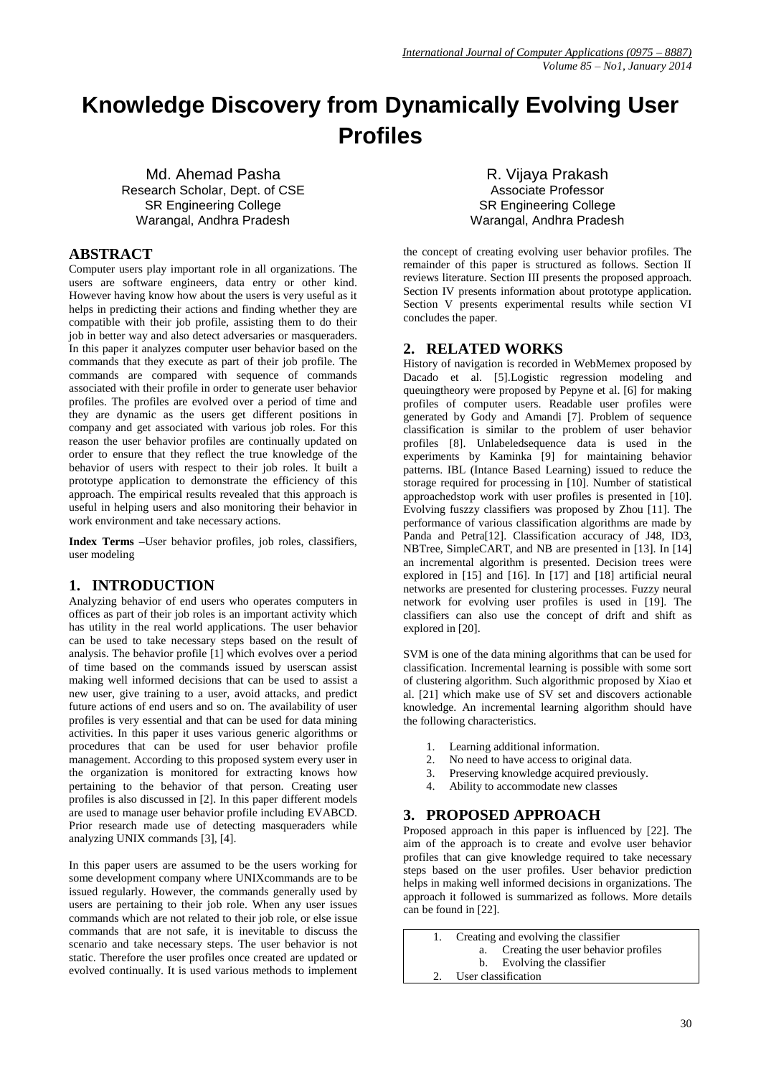# **Knowledge Discovery from Dynamically Evolving User Profiles**

Md. Ahemad Pasha Research Scholar, Dept. of CSE SR Engineering College Warangal, Andhra Pradesh

## **ABSTRACT**

Computer users play important role in all organizations. The users are software engineers, data entry or other kind. However having know how about the users is very useful as it helps in predicting their actions and finding whether they are compatible with their job profile, assisting them to do their job in better way and also detect adversaries or masqueraders. In this paper it analyzes computer user behavior based on the commands that they execute as part of their job profile. The commands are compared with sequence of commands associated with their profile in order to generate user behavior profiles. The profiles are evolved over a period of time and they are dynamic as the users get different positions in company and get associated with various job roles. For this reason the user behavior profiles are continually updated on order to ensure that they reflect the true knowledge of the behavior of users with respect to their job roles. It built a prototype application to demonstrate the efficiency of this approach. The empirical results revealed that this approach is useful in helping users and also monitoring their behavior in work environment and take necessary actions.

**Index Terms –**User behavior profiles, job roles, classifiers, user modeling

### **1. INTRODUCTION**

Analyzing behavior of end users who operates computers in offices as part of their job roles is an important activity which has utility in the real world applications. The user behavior can be used to take necessary steps based on the result of analysis. The behavior profile [1] which evolves over a period of time based on the commands issued by userscan assist making well informed decisions that can be used to assist a new user, give training to a user, avoid attacks, and predict future actions of end users and so on. The availability of user profiles is very essential and that can be used for data mining activities. In this paper it uses various generic algorithms or procedures that can be used for user behavior profile management. According to this proposed system every user in the organization is monitored for extracting knows how pertaining to the behavior of that person. Creating user profiles is also discussed in [2]. In this paper different models are used to manage user behavior profile including EVABCD. Prior research made use of detecting masqueraders while analyzing UNIX commands [3], [4].

In this paper users are assumed to be the users working for some development company where UNIXcommands are to be issued regularly. However, the commands generally used by users are pertaining to their job role. When any user issues commands which are not related to their job role, or else issue commands that are not safe, it is inevitable to discuss the scenario and take necessary steps. The user behavior is not static. Therefore the user profiles once created are updated or evolved continually. It is used various methods to implement

R. Vijaya Prakash Associate Professor SR Engineering College Warangal, Andhra Pradesh

the concept of creating evolving user behavior profiles. The remainder of this paper is structured as follows. Section II reviews literature. Section III presents the proposed approach. Section IV presents information about prototype application. Section V presents experimental results while section VI concludes the paper.

### **2. RELATED WORKS**

History of navigation is recorded in WebMemex proposed by Dacado et al. [5].Logistic regression modeling and queuingtheory were proposed by Pepyne et al. [6] for making profiles of computer users. Readable user profiles were generated by Gody and Amandi [7]. Problem of sequence classification is similar to the problem of user behavior profiles [8]. Unlabeledsequence data is used in the experiments by Kaminka [9] for maintaining behavior patterns. IBL (Intance Based Learning) issued to reduce the storage required for processing in [10]. Number of statistical approachedstop work with user profiles is presented in [10]. Evolving fuszzy classifiers was proposed by Zhou [11]. The performance of various classification algorithms are made by Panda and Petra[12]. Classification accuracy of J48, ID3, NBTree, SimpleCART, and NB are presented in [13]. In [14] an incremental algorithm is presented. Decision trees were explored in [15] and [16]. In [17] and [18] artificial neural networks are presented for clustering processes. Fuzzy neural network for evolving user profiles is used in [19]. The classifiers can also use the concept of drift and shift as explored in [20].

SVM is one of the data mining algorithms that can be used for classification. Incremental learning is possible with some sort of clustering algorithm. Such algorithmic proposed by Xiao et al. [21] which make use of SV set and discovers actionable knowledge. An incremental learning algorithm should have the following characteristics.

- 1. Learning additional information.
- 2. No need to have access to original data.
- 3. Preserving knowledge acquired previously.
- 4. Ability to accommodate new classes

# **3. PROPOSED APPROACH**

Proposed approach in this paper is influenced by [22]. The aim of the approach is to create and evolve user behavior profiles that can give knowledge required to take necessary steps based on the user profiles. User behavior prediction helps in making well informed decisions in organizations. The approach it followed is summarized as follows. More details can be found in [22].

1. Creating and evolving the classifier a. Creating the user behavior profiles b. Evolving the classifier User classification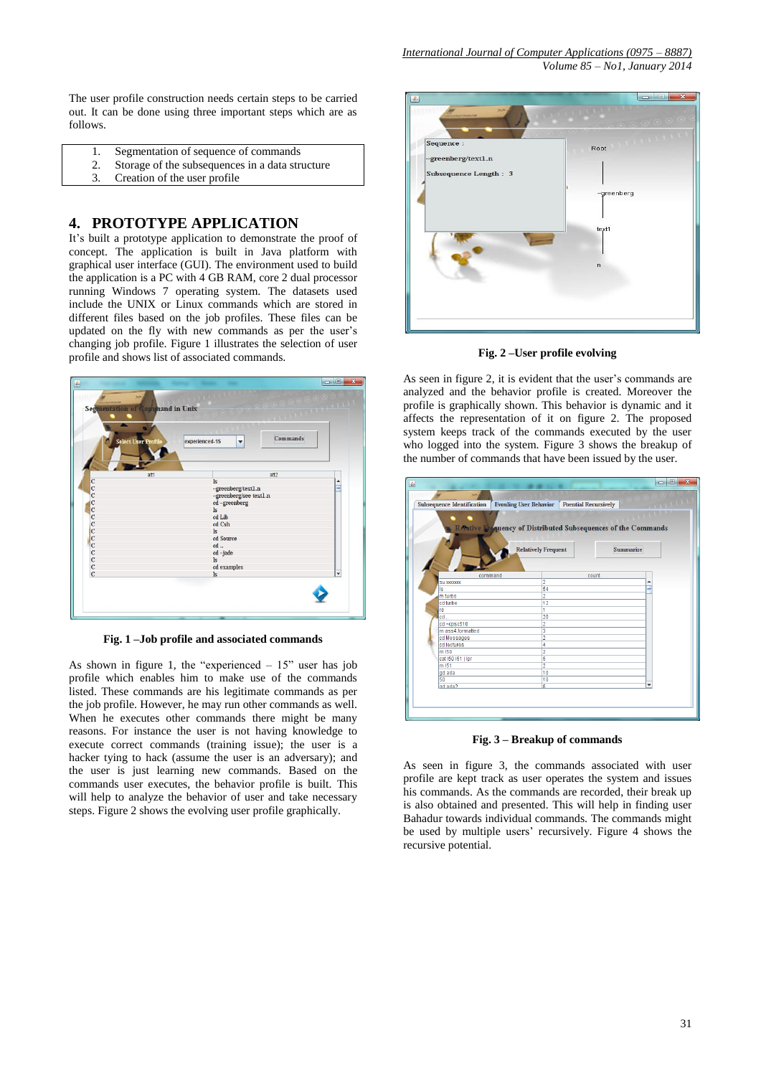The user profile construction needs certain steps to be carried out. It can be done using three important steps which are as follows.

- 1. Segmentation of sequence of commands
- 2. Storage of the subsequences in a data structure
- 3. Creation of the user profile

#### **4. PROTOTYPE APPLICATION**

It's built a prototype application to demonstrate the proof of concept. The application is built in Java platform with graphical user interface (GUI). The environment used to build the application is a PC with 4 GB RAM, core 2 dual processor running Windows 7 operating system. The datasets used include the UNIX or Linux commands which are stored in different files based on the job profiles. These files can be updated on the fly with new commands as per the user's changing job profile. Figure 1 illustrates the selection of user profile and shows list of associated commands.



**Fig. 1 –Job profile and associated commands**

As shown in figure 1, the "experienced  $-15$ " user has job profile which enables him to make use of the commands listed. These commands are his legitimate commands as per the job profile. However, he may run other commands as well. When he executes other commands there might be many reasons. For instance the user is not having knowledge to execute correct commands (training issue); the user is a hacker tying to hack (assume the user is an adversary); and the user is just learning new commands. Based on the commands user executes, the behavior profile is built. This will help to analyze the behavior of user and take necessary steps. Figure 2 shows the evolving user profile graphically.



**Fig. 2 –User profile evolving**

As seen in figure 2, it is evident that the user's commands are analyzed and the behavior profile is created. Moreover the profile is graphically shown. This behavior is dynamic and it affects the representation of it on figure 2. The proposed system keeps track of the commands executed by the user who logged into the system. Figure 3 shows the breakup of the number of commands that have been issued by the user.



**Fig. 3 – Breakup of commands**

As seen in figure 3, the commands associated with user profile are kept track as user operates the system and issues his commands. As the commands are recorded, their break up is also obtained and presented. This will help in finding user Bahadur towards individual commands. The commands might be used by multiple users' recursively. Figure 4 shows the recursive potential.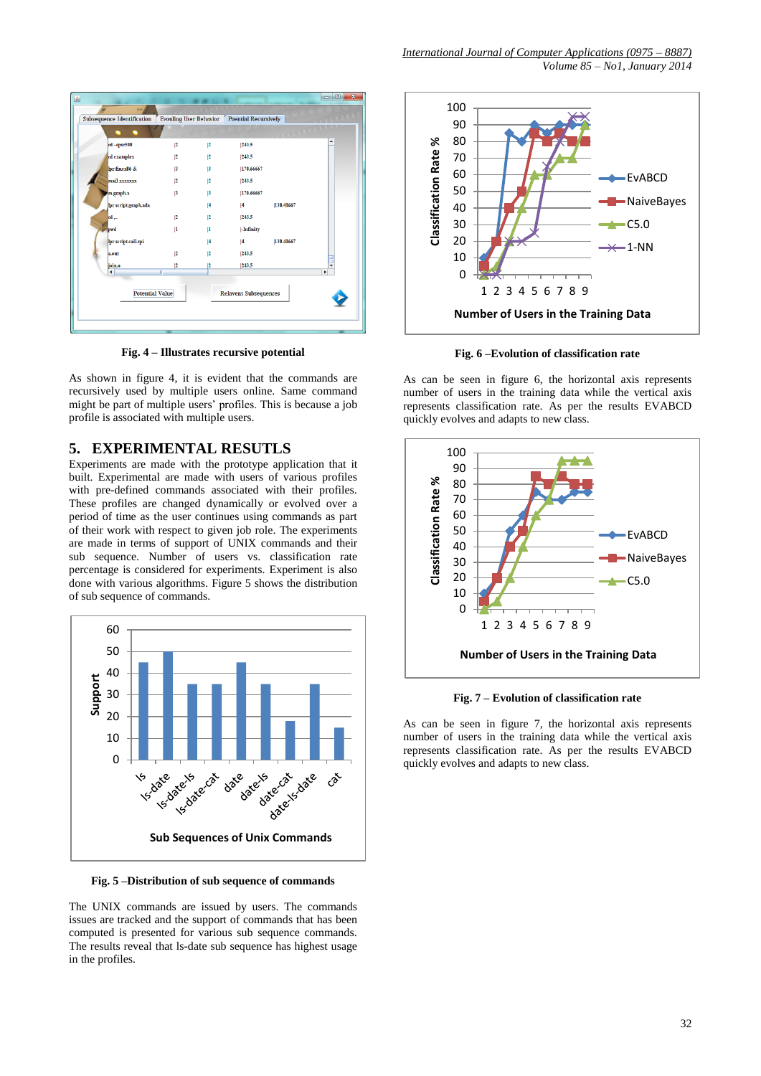| 圖                                                      |                               |    |                             |           | $\begin{array}{c c c c c} \hline \multicolumn{3}{c }{\mathbf{C}} & \multicolumn{3}{c }{\mathbf{X}} \end{array}$ |
|--------------------------------------------------------|-------------------------------|----|-----------------------------|-----------|-----------------------------------------------------------------------------------------------------------------|
| SH.                                                    |                               |    |                             |           |                                                                                                                 |
| <b>Subsequence Identification</b>                      | <b>Evouling User Behavior</b> |    | <b>Poential Recursively</b> |           |                                                                                                                 |
|                                                        |                               |    |                             |           |                                                                                                                 |
| cd-cpsc500                                             | 2                             | 2  | 243.5                       |           |                                                                                                                 |
| cd examples                                            | 2                             | 12 | 243.5                       |           |                                                                                                                 |
| br finex86 &                                           | 3                             | 13 | 170.66667                   |           |                                                                                                                 |
| mail xxxxxx                                            | 2                             | 2  | 243.5                       |           |                                                                                                                 |
| m graph.a                                              | 3                             | 13 | 170.66667                   |           |                                                                                                                 |
| lpr script.graph.ada                                   |                               | 4  | 4                           | 130.41667 |                                                                                                                 |
| cd                                                     | 2                             | 2  | 243.5                       |           |                                                                                                                 |
| pwd                                                    | $\mathbf{I}$                  | n  | -Infinity                   |           |                                                                                                                 |
| lpr script.call.spi                                    |                               | 4  | 4                           | 130.41667 |                                                                                                                 |
| a.out                                                  | 2                             | 2  | 243.5                       |           |                                                                                                                 |
| join.o                                                 | 12                            | 12 | 1243.5                      |           | ٠                                                                                                               |
| $\blacktriangleleft$                                   | Ш                             |    |                             |           | Þ                                                                                                               |
| <b>Potential Value</b><br><b>Relavent Subsequences</b> |                               |    |                             |           |                                                                                                                 |
|                                                        |                               |    |                             |           |                                                                                                                 |
|                                                        |                               |    |                             |           |                                                                                                                 |
|                                                        |                               |    |                             |           |                                                                                                                 |

**Fig. 4 – Illustrates recursive potential**

As shown in figure 4, it is evident that the commands are recursively used by multiple users online. Same command might be part of multiple users' profiles. This is because a job profile is associated with multiple users.

#### **5. EXPERIMENTAL RESUTLS**

Experiments are made with the prototype application that it built. Experimental are made with users of various profiles with pre-defined commands associated with their profiles. These profiles are changed dynamically or evolved over a period of time as the user continues using commands as part of their work with respect to given job role. The experiments are made in terms of support of UNIX commands and their sub sequence. Number of users vs. classification rate percentage is considered for experiments. Experiment is also done with various algorithms. Figure 5 shows the distribution of sub sequence of commands.



**Fig. 5 –Distribution of sub sequence of commands**

The UNIX commands are issued by users. The commands issues are tracked and the support of commands that has been computed is presented for various sub sequence commands. The results reveal that ls-date sub sequence has highest usage in the profiles.



**Fig. 6 –Evolution of classification rate**

As can be seen in figure 6, the horizontal axis represents number of users in the training data while the vertical axis represents classification rate. As per the results EVABCD quickly evolves and adapts to new class.



**Fig. 7 – Evolution of classification rate**

As can be seen in figure 7, the horizontal axis represents number of users in the training data while the vertical axis represents classification rate. As per the results EVABCD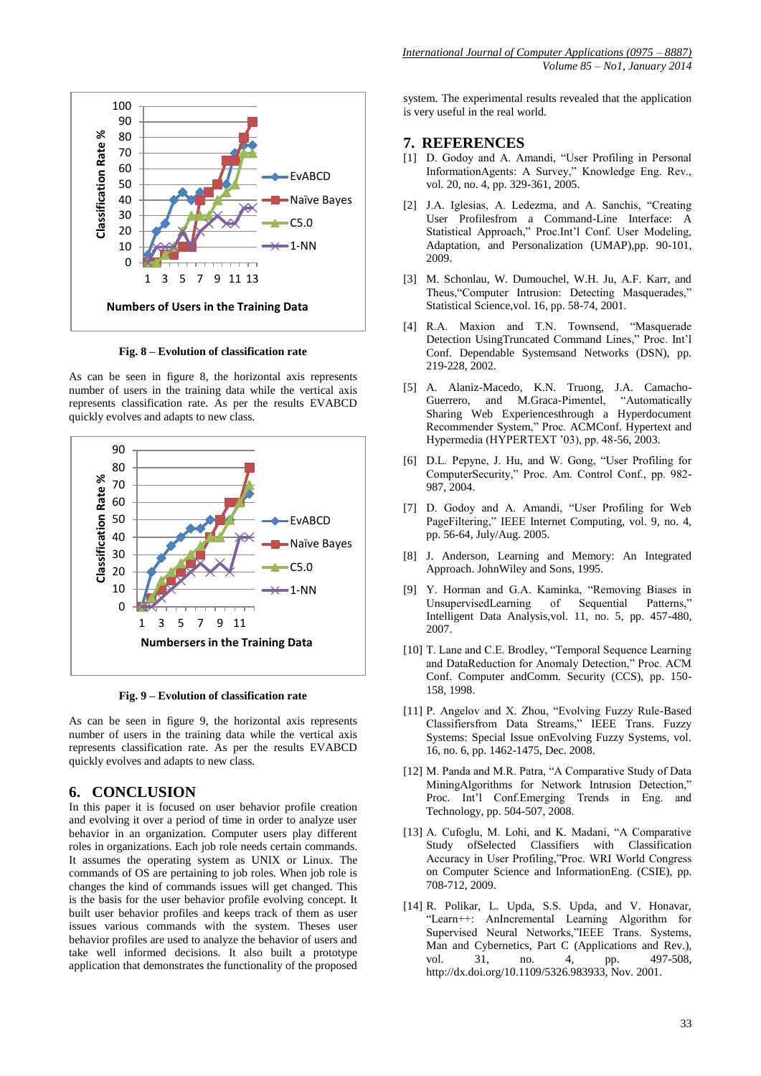

**Fig. 8 – Evolution of classification rate**

As can be seen in figure 8, the horizontal axis represents number of users in the training data while the vertical axis represents classification rate. As per the results EVABCD quickly evolves and adapts to new class.



**Fig. 9 – Evolution of classification rate**

As can be seen in figure 9, the horizontal axis represents number of users in the training data while the vertical axis represents classification rate. As per the results EVABCD quickly evolves and adapts to new class.

#### **6. CONCLUSION**

In this paper it is focused on user behavior profile creation and evolving it over a period of time in order to analyze user behavior in an organization. Computer users play different roles in organizations. Each job role needs certain commands. It assumes the operating system as UNIX or Linux. The commands of OS are pertaining to job roles. When job role is changes the kind of commands issues will get changed. This is the basis for the user behavior profile evolving concept. It built user behavior profiles and keeps track of them as user issues various commands with the system. Theses user behavior profiles are used to analyze the behavior of users and take well informed decisions. It also built a prototype application that demonstrates the functionality of the proposed system. The experimental results revealed that the application is very useful in the real world.

#### **7. REFERENCES**

- [1] D. Godoy and A. Amandi, "User Profiling in Personal InformationAgents: A Survey," Knowledge Eng. Rev., vol. 20, no. 4, pp. 329-361, 2005.
- [2] J.A. Iglesias, A. Ledezma, and A. Sanchis, "Creating User Profilesfrom a Command-Line Interface: A Statistical Approach," Proc.Int'l Conf. User Modeling, Adaptation, and Personalization (UMAP),pp. 90-101, 2009.
- [3] M. Schonlau, W. Dumouchel, W.H. Ju, A.F. Karr, and Theus,"Computer Intrusion: Detecting Masquerades," Statistical Science,vol. 16, pp. 58-74, 2001.
- [4] R.A. Maxion and T.N. Townsend, "Masquerade Detection UsingTruncated Command Lines," Proc. Int'l Conf. Dependable Systemsand Networks (DSN), pp. 219-228, 2002.
- [5] A. Alaniz-Macedo, K.N. Truong, J.A. Camacho-Guerrero, and M.Graca-Pimentel, Sharing Web Experiencesthrough a Hyperdocument Recommender System," Proc. ACMConf. Hypertext and Hypermedia (HYPERTEXT '03), pp. 48-56, 2003.
- [6] D.L. Pepyne, J. Hu, and W. Gong, "User Profiling for ComputerSecurity," Proc. Am. Control Conf., pp. 982- 987, 2004.
- [7] D. Godoy and A. Amandi, "User Profiling for Web PageFiltering," IEEE Internet Computing, vol. 9, no. 4, pp. 56-64, July/Aug. 2005.
- [8] J. Anderson, Learning and Memory: An Integrated Approach. JohnWiley and Sons, 1995.
- [9] Y. Horman and G.A. Kaminka, "Removing Biases in UnsupervisedLearning of Sequential Intelligent Data Analysis,vol. 11, no. 5, pp. 457-480, 2007.
- [10] T. Lane and C.E. Brodley, "Temporal Sequence Learning and DataReduction for Anomaly Detection," Proc. ACM Conf. Computer andComm. Security (CCS), pp. 150- 158, 1998.
- [11] P. Angelov and X. Zhou, "Evolving Fuzzy Rule-Based Classifiersfrom Data Streams," IEEE Trans. Fuzzy Systems: Special Issue onEvolving Fuzzy Systems, vol. 16, no. 6, pp. 1462-1475, Dec. 2008.
- [12] M. Panda and M.R. Patra, "A Comparative Study of Data MiningAlgorithms for Network Intrusion Detection," Proc. Int'l Conf.Emerging Trends in Eng. and Technology, pp. 504-507, 2008.
- [13] A. Cufoglu, M. Lohi, and K. Madani, "A Comparative Study ofSelected Classifiers with Classification Accuracy in User Profiling,"Proc. WRI World Congress on Computer Science and InformationEng. (CSIE), pp. 708-712, 2009.
- [14] R. Polikar, L. Upda, S.S. Upda, and V. Honavar, "Learn++: AnIncremental Learning Algorithm for Supervised Neural Networks,"IEEE Trans. Systems, Man and Cybernetics, Part C (Applications and Rev.), vol. 31, no. 4, pp. 497-508, http://dx.doi.org/10.1109/5326.983933, Nov. 2001.